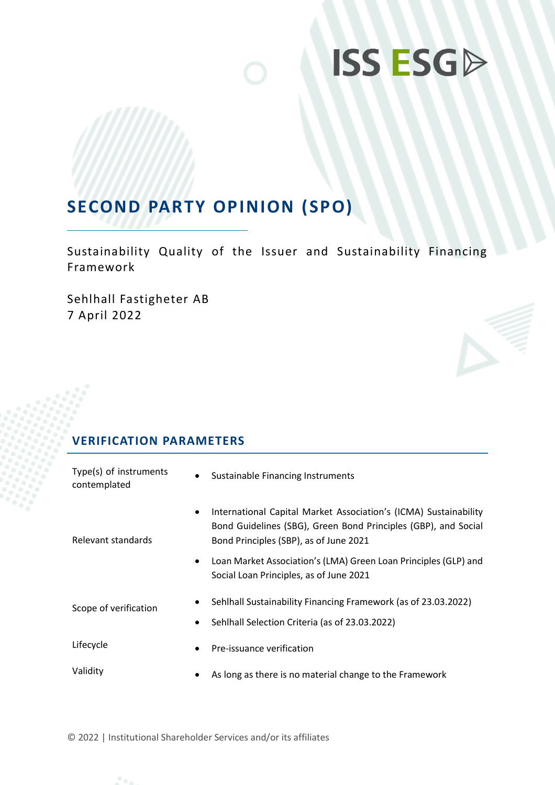# **ISS ESGD**

## **SECOND PARTY OPINION (SPO)**

Sustainability Quality of the Issuer and Sustainability Financing Framework

Sehlhall Fastigheter AB 7 April 2022

## **VERIFICATION PARAMETERS**

| Type(s) of instruments<br>contemplated | <b>Sustainable Financing Instruments</b><br>$\bullet$                                                                                                                        |
|----------------------------------------|------------------------------------------------------------------------------------------------------------------------------------------------------------------------------|
| $\bullet$<br>Relevant standards        | International Capital Market Association's (ICMA) Sustainability<br>Bond Guidelines (SBG), Green Bond Principles (GBP), and Social<br>Bond Principles (SBP), as of June 2021 |
|                                        | Loan Market Association's (LMA) Green Loan Principles (GLP) and<br>Social Loan Principles, as of June 2021                                                                   |
| Scope of verification<br>$\bullet$     | Sehlhall Sustainability Financing Framework (as of 23.03.2022)<br>Sehlhall Selection Criteria (as of 23.03.2022)                                                             |
| Lifecycle<br>$\bullet$                 | Pre-issuance verification                                                                                                                                                    |
| Validity                               | As long as there is no material change to the Framework                                                                                                                      |

© 2022 | Institutional Shareholder Services and/or its affiliates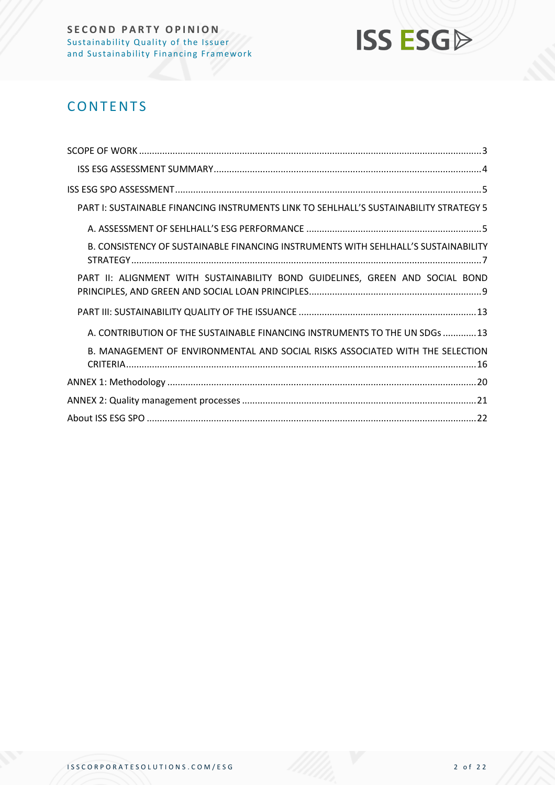

## **CONTENTS**

| PART I: SUSTAINABLE FINANCING INSTRUMENTS LINK TO SEHLHALL'S SUSTAINABILITY STRATEGY 5 |
|----------------------------------------------------------------------------------------|
|                                                                                        |
| B. CONSISTENCY OF SUSTAINABLE FINANCING INSTRUMENTS WITH SEHLHALL'S SUSTAINABILITY     |
| PART II: ALIGNMENT WITH SUSTAINABILITY BOND GUIDELINES, GREEN AND SOCIAL BOND          |
|                                                                                        |
| A. CONTRIBUTION OF THE SUSTAINABLE FINANCING INSTRUMENTS TO THE UN SDGs  13            |
| B. MANAGEMENT OF ENVIRONMENTAL AND SOCIAL RISKS ASSOCIATED WITH THE SELECTION          |
|                                                                                        |
|                                                                                        |
|                                                                                        |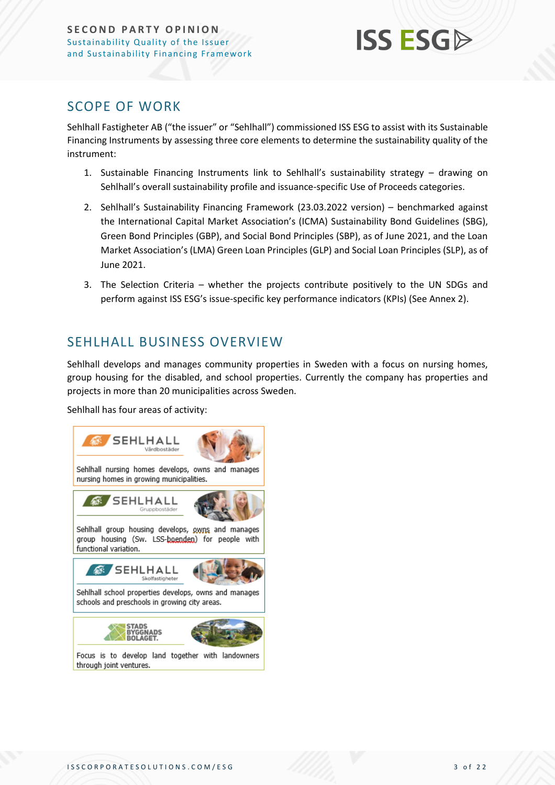

### <span id="page-2-0"></span>SCOPE OF WORK

Sehlhall Fastigheter AB ("the issuer" or "Sehlhall") commissioned ISS ESG to assist with its Sustainable Financing Instruments by assessing three core elements to determine the sustainability quality of the instrument:

- 1. Sustainable Financing Instruments link to Sehlhall's sustainability strategy drawing on Sehlhall's overall sustainability profile and issuance-specific Use of Proceeds categories.
- 2. Sehlhall's Sustainability Financing Framework (23.03.2022 version) benchmarked against the International Capital Market Association's (ICMA) Sustainability Bond Guidelines (SBG), Green Bond Principles (GBP), and Social Bond Principles (SBP), as of June 2021, and the Loan Market Association's (LMA) Green Loan Principles (GLP) and Social Loan Principles (SLP), as of June 2021.
- 3. The Selection Criteria whether the projects contribute positively to the UN SDGs and perform against ISS ESG's issue-specific key performance indicators (KPIs) (See Annex 2).

## SEHLHALL BUSINESS OVERVIEW

Sehlhall develops and manages community properties in Sweden with a focus on nursing homes, group housing for the disabled, and school properties. Currently the company has properties and projects in more than 20 municipalities across Sweden.

Sehlhall has four areas of activity:

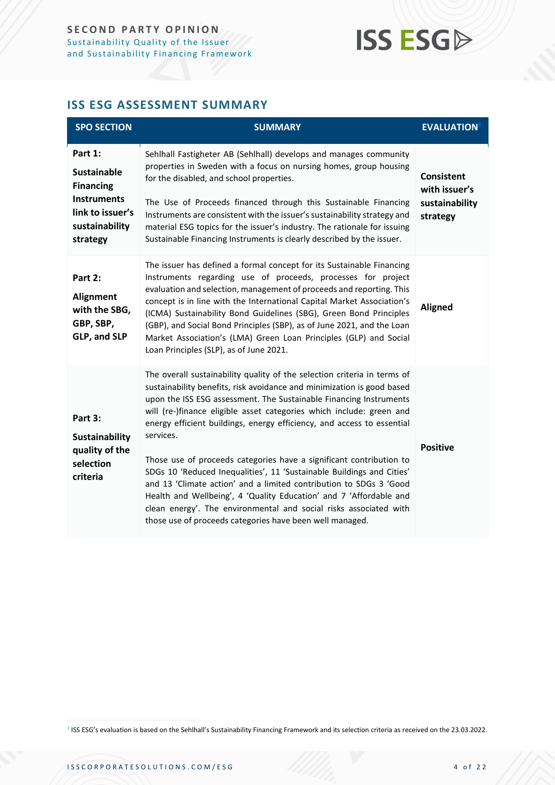## **ISS ESG**

#### <span id="page-3-0"></span>**ISS ESG ASSESSMENT SUMMARY**

| <b>SPO SECTION</b>                                                                                                        | <b>SUMMARY</b>                                                                                                                                                                                                                                                                                                                                                                                                                                                                                                                                                                                                                                                                                                                                                                                                       | <b>EVALUATION</b> <sup>1</sup>                                   |
|---------------------------------------------------------------------------------------------------------------------------|----------------------------------------------------------------------------------------------------------------------------------------------------------------------------------------------------------------------------------------------------------------------------------------------------------------------------------------------------------------------------------------------------------------------------------------------------------------------------------------------------------------------------------------------------------------------------------------------------------------------------------------------------------------------------------------------------------------------------------------------------------------------------------------------------------------------|------------------------------------------------------------------|
| Part 1:<br><b>Sustainable</b><br><b>Financing</b><br><b>Instruments</b><br>link to issuer's<br>sustainability<br>strategy | Sehlhall Fastigheter AB (Sehlhall) develops and manages community<br>properties in Sweden with a focus on nursing homes, group housing<br>for the disabled, and school properties.<br>The Use of Proceeds financed through this Sustainable Financing<br>Instruments are consistent with the issuer's sustainability strategy and<br>material ESG topics for the issuer's industry. The rationale for issuing<br>Sustainable Financing Instruments is clearly described by the issuer.                                                                                                                                                                                                                                                                                                                               | <b>Consistent</b><br>with issuer's<br>sustainability<br>strategy |
| Part 2:<br>Alignment<br>with the SBG,<br>GBP, SBP,<br>GLP, and SLP                                                        | The issuer has defined a formal concept for its Sustainable Financing<br>Instruments regarding use of proceeds, processes for project<br>evaluation and selection, management of proceeds and reporting. This<br>concept is in line with the International Capital Market Association's<br>(ICMA) Sustainability Bond Guidelines (SBG), Green Bond Principles<br>(GBP), and Social Bond Principles (SBP), as of June 2021, and the Loan<br>Market Association's (LMA) Green Loan Principles (GLP) and Social<br>Loan Principles (SLP), as of June 2021.                                                                                                                                                                                                                                                              | <b>Aligned</b>                                                   |
| Part 3:<br><b>Sustainability</b><br>quality of the<br>selection<br>criteria                                               | The overall sustainability quality of the selection criteria in terms of<br>sustainability benefits, risk avoidance and minimization is good based<br>upon the ISS ESG assessment. The Sustainable Financing Instruments<br>will (re-)finance eligible asset categories which include: green and<br>energy efficient buildings, energy efficiency, and access to essential<br>services.<br>Those use of proceeds categories have a significant contribution to<br>SDGs 10 'Reduced Inequalities', 11 'Sustainable Buildings and Cities'<br>and 13 'Climate action' and a limited contribution to SDGs 3 'Good<br>Health and Wellbeing', 4 'Quality Education' and 7 'Affordable and<br>clean energy'. The environmental and social risks associated with<br>those use of proceeds categories have been well managed. | <b>Positive</b>                                                  |

<sup>1</sup> ISS ESG's evaluation is based on the Sehlhall's Sustainability Financing Framework and its selection criteria as received on the 23.03.2022.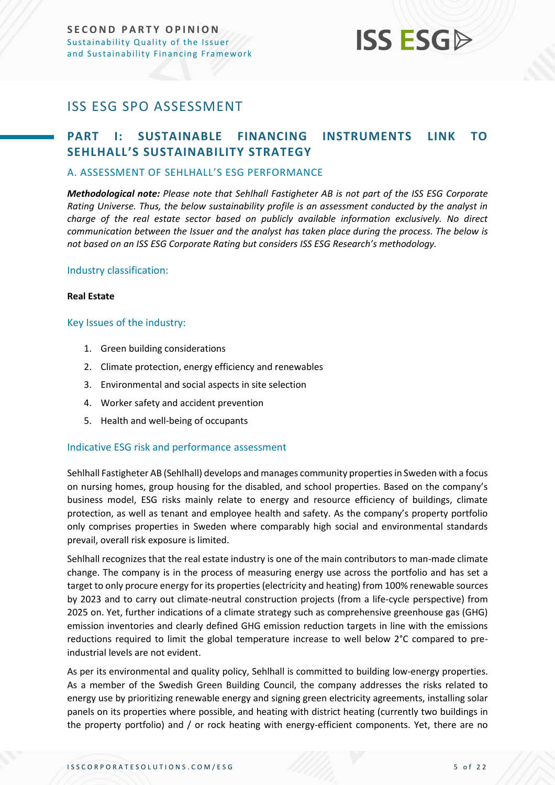## **ISS ESG**

## <span id="page-4-0"></span>ISS ESG SPO ASSESSMENT

### <span id="page-4-1"></span>**PART I: SUSTAINABLE FINANCING INSTRUMENTS LINK TO SEHLHALL'S SUSTAINABILITY STRATEGY**

#### <span id="page-4-2"></span>A. ASSESSMENT OF SEHLHALL'S ESG PERFORMANCE

*Methodological note: Please note that Sehlhall Fastigheter AB is not part of the ISS ESG Corporate Rating Universe. Thus, the below sustainability profile is an assessment conducted by the analyst in charge of the real estate sector based on publicly available information exclusively. No direct communication between the Issuer and the analyst has taken place during the process. The below is not based on an ISS ESG Corporate Rating but considers ISS ESG Research's methodology.*

#### Industry classification:

#### **Real Estate**

#### Key Issues of the industry:

- 1. Green building considerations
- 2. Climate protection, energy efficiency and renewables
- 3. Environmental and social aspects in site selection
- 4. Worker safety and accident prevention
- 5. Health and well-being of occupants

#### Indicative ESG risk and performance assessment

Sehlhall Fastigheter AB (Sehlhall) develops and manages community properties in Sweden with a focus on nursing homes, group housing for the disabled, and school properties. Based on the company's business model, ESG risks mainly relate to energy and resource efficiency of buildings, climate protection, as well as tenant and employee health and safety. As the company's property portfolio only comprises properties in Sweden where comparably high social and environmental standards prevail, overall risk exposure is limited.

Sehlhall recognizes that the real estate industry is one of the main contributors to man-made climate change. The company is in the process of measuring energy use across the portfolio and has set a target to only procure energy for its properties (electricity and heating) from 100% renewable sources by 2023 and to carry out climate-neutral construction projects (from a life-cycle perspective) from 2025 on. Yet, further indications of a climate strategy such as comprehensive greenhouse gas (GHG) emission inventories and clearly defined GHG emission reduction targets in line with the emissions reductions required to limit the global temperature increase to well below 2°C compared to preindustrial levels are not evident.

As per its environmental and quality policy, Sehlhall is committed to building low-energy properties. As a member of the Swedish Green Building Council, the company addresses the risks related to energy use by prioritizing renewable energy and signing green electricity agreements, installing solar panels on its properties where possible, and heating with district heating (currently two buildings in the property portfolio) and / or rock heating with energy-efficient components. Yet, there are no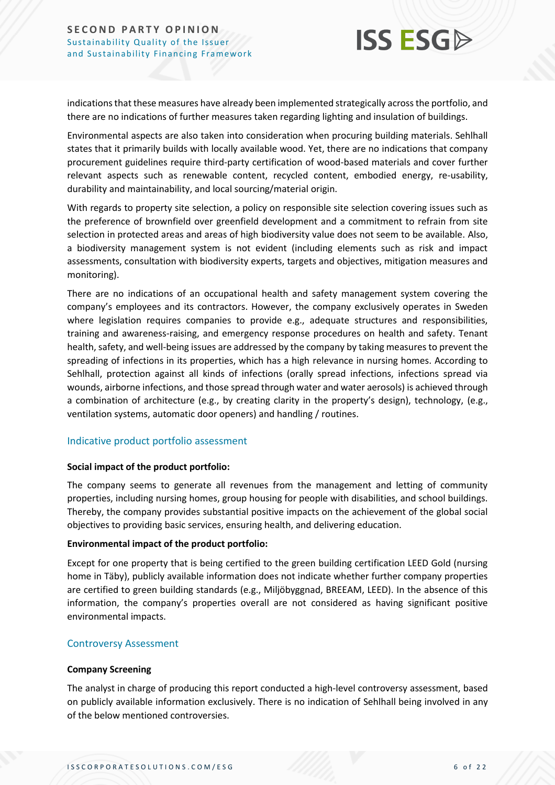

indications that these measures have already been implemented strategically across the portfolio, and there are no indications of further measures taken regarding lighting and insulation of buildings.

Environmental aspects are also taken into consideration when procuring building materials. Sehlhall states that it primarily builds with locally available wood. Yet, there are no indications that company procurement guidelines require third-party certification of wood-based materials and cover further relevant aspects such as renewable content, recycled content, embodied energy, re-usability, durability and maintainability, and local sourcing/material origin.

With regards to property site selection, a policy on responsible site selection covering issues such as the preference of brownfield over greenfield development and a commitment to refrain from site selection in protected areas and areas of high biodiversity value does not seem to be available. Also, a biodiversity management system is not evident (including elements such as risk and impact assessments, consultation with biodiversity experts, targets and objectives, mitigation measures and monitoring).

There are no indications of an occupational health and safety management system covering the company's employees and its contractors. However, the company exclusively operates in Sweden where legislation requires companies to provide e.g., adequate structures and responsibilities, training and awareness-raising, and emergency response procedures on health and safety. Tenant health, safety, and well-being issues are addressed by the company by taking measures to prevent the spreading of infections in its properties, which has a high relevance in nursing homes. According to Sehlhall, protection against all kinds of infections (orally spread infections, infections spread via wounds, airborne infections, and those spread through water and water aerosols) is achieved through a combination of architecture (e.g., by creating clarity in the property's design), technology, (e.g., ventilation systems, automatic door openers) and handling / routines.

#### Indicative product portfolio assessment

#### **Social impact of the product portfolio:**

The company seems to generate all revenues from the management and letting of community properties, including nursing homes, group housing for people with disabilities, and school buildings. Thereby, the company provides substantial positive impacts on the achievement of the global social objectives to providing basic services, ensuring health, and delivering education.

#### **Environmental impact of the product portfolio:**

Except for one property that is being certified to the green building certification LEED Gold (nursing home in Täby), publicly available information does not indicate whether further company properties are certified to green building standards (e.g., Miljöbyggnad, BREEAM, LEED). In the absence of this information, the company's properties overall are not considered as having significant positive environmental impacts.

#### Controversy Assessment

#### **Company Screening**

The analyst in charge of producing this report conducted a high-level controversy assessment, based on publicly available information exclusively. There is no indication of Sehlhall being involved in any of the below mentioned controversies.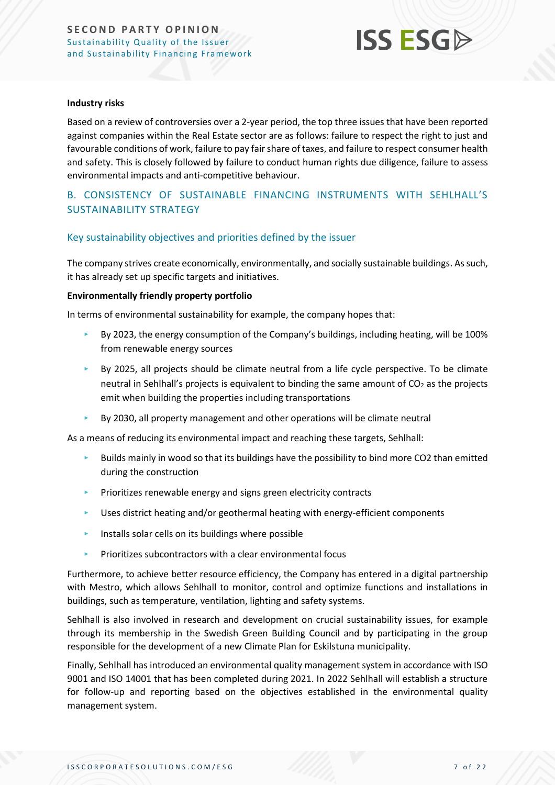

#### **Industry risks**

Based on a review of controversies over a 2-year period, the top three issues that have been reported against companies within the Real Estate sector are as follows: failure to respect the right to just and favourable conditions of work, failure to pay fair share of taxes, and failure to respect consumer health and safety. This is closely followed by failure to conduct human rights due diligence, failure to assess environmental impacts and anti-competitive behaviour.

#### <span id="page-6-0"></span>B. CONSISTENCY OF SUSTAINABLE FINANCING INSTRUMENTS WITH SEHLHALL'S SUSTAINABILITY STRATEGY

#### Key sustainability objectives and priorities defined by the issuer

The company strives create economically, environmentally, and socially sustainable buildings. As such, it has already set up specific targets and initiatives.

#### **Environmentally friendly property portfolio**

In terms of environmental sustainability for example, the company hopes that:

- ‣ By 2023, the energy consumption of the Company's buildings, including heating, will be 100% from renewable energy sources
- $\blacktriangleright$  By 2025, all projects should be climate neutral from a life cycle perspective. To be climate neutral in Sehlhall's projects is equivalent to binding the same amount of  $CO<sub>2</sub>$  as the projects emit when building the properties including transportations
- ‣ By 2030, all property management and other operations will be climate neutral

As a means of reducing its environmental impact and reaching these targets, Sehlhall:

- ‣ Builds mainly in wood so that its buildings have the possibility to bind more CO2 than emitted during the construction
- ‣ Prioritizes renewable energy and signs green electricity contracts
- $\blacktriangleright$  Uses district heating and/or geothermal heating with energy-efficient components
- ‣ Installs solar cells on its buildings where possible
- Prioritizes subcontractors with a clear environmental focus

Furthermore, to achieve better resource efficiency, the Company has entered in a digital partnership with Mestro, which allows Sehlhall to monitor, control and optimize functions and installations in buildings, such as temperature, ventilation, lighting and safety systems.

Sehlhall is also involved in research and development on crucial sustainability issues, for example through its membership in the Swedish Green Building Council and by participating in the group responsible for the development of a new Climate Plan for Eskilstuna municipality.

Finally, Sehlhall has introduced an environmental quality management system in accordance with ISO 9001 and ISO 14001 that has been completed during 2021. In 2022 Sehlhall will establish a structure for follow-up and reporting based on the objectives established in the environmental quality management system.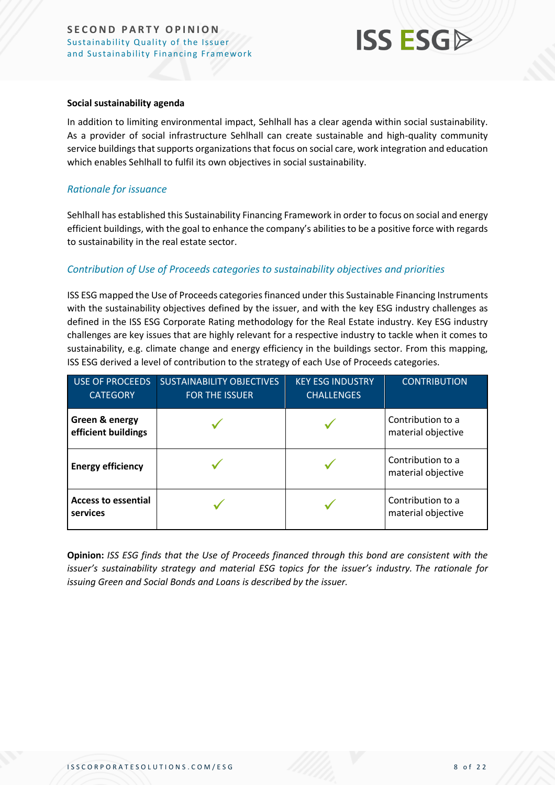## **ISS ESG**

#### **Social sustainability agenda**

In addition to limiting environmental impact, Sehlhall has a clear agenda within social sustainability. As a provider of social infrastructure Sehlhall can create sustainable and high-quality community service buildings that supports organizationsthat focus on social care, work integration and education which enables Sehlhall to fulfil its own objectives in social sustainability.

#### *Rationale for issuance*

Sehlhall has established this Sustainability Financing Framework in order to focus on social and energy efficient buildings, with the goal to enhance the company's abilities to be a positive force with regards to sustainability in the real estate sector.

#### *Contribution of Use of Proceeds categories to sustainability objectives and priorities*

ISS ESG mapped the Use of Proceeds categories financed under this Sustainable Financing Instruments with the sustainability objectives defined by the issuer, and with the key ESG industry challenges as defined in the ISS ESG Corporate Rating methodology for the Real Estate industry. Key ESG industry challenges are key issues that are highly relevant for a respective industry to tackle when it comes to sustainability, e.g. climate change and energy efficiency in the buildings sector. From this mapping, ISS ESG derived a level of contribution to the strategy of each Use of Proceeds categories.

| <b>USE OF PROCEEDS</b><br><b>CATEGORY</b> | <b>SUSTAINABILITY OBJECTIVES</b><br><b>FOR THE ISSUER</b> | <b>KEY ESG INDUSTRY</b><br><b>CHALLENGES</b> | <b>CONTRIBUTION</b>                     |
|-------------------------------------------|-----------------------------------------------------------|----------------------------------------------|-----------------------------------------|
| Green & energy<br>efficient buildings     |                                                           |                                              | Contribution to a<br>material objective |
| <b>Energy efficiency</b>                  |                                                           |                                              | Contribution to a<br>material objective |
| <b>Access to essential</b><br>services    |                                                           |                                              | Contribution to a<br>material objective |

**Opinion:** *ISS ESG finds that the Use of Proceeds financed through this bond are consistent with the issuer's sustainability strategy and material ESG topics for the issuer's industry. The rationale for issuing Green and Social Bonds and Loans is described by the issuer.*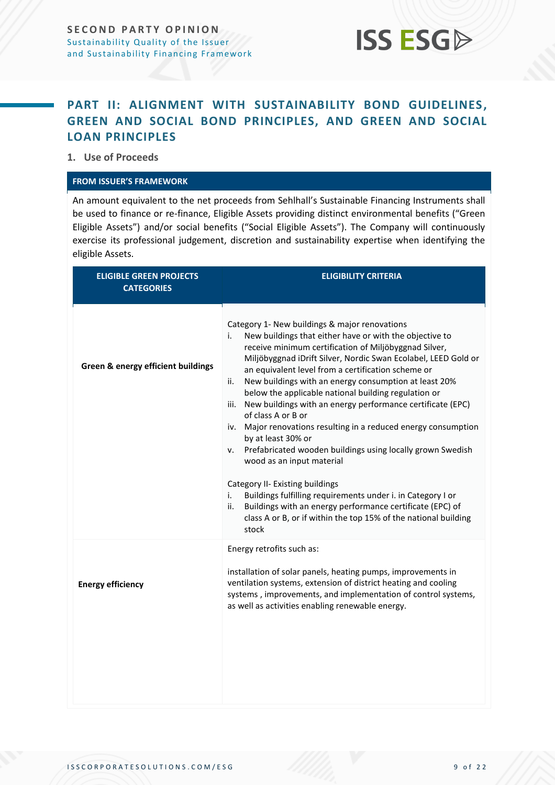

### <span id="page-8-0"></span>**PART II: ALIGNMENT WITH SUSTAINABILITY BOND GUIDELINES, GREEN AND SOCIAL BOND PRINCIPLES, AND GREEN AND SOCIAL LOAN PRINCIPLES**

**1. Use of Proceeds**

#### **FROM ISSUER'S FRAMEWORK**

An amount equivalent to the net proceeds from Sehlhall's Sustainable Financing Instruments shall be used to finance or re-finance, Eligible Assets providing distinct environmental benefits ("Green Eligible Assets") and/or social benefits ("Social Eligible Assets"). The Company will continuously exercise its professional judgement, discretion and sustainability expertise when identifying the eligible Assets.

| <b>ELIGIBLE GREEN PROJECTS</b><br><b>CATEGORIES</b> | <b>ELIGIBILITY CRITERIA</b>                                                                                                                                                                                                                                                                                                                                                                                                                                                                                                                                                                                                                                                                                                                                                                                                                                                                                                                                           |  |
|-----------------------------------------------------|-----------------------------------------------------------------------------------------------------------------------------------------------------------------------------------------------------------------------------------------------------------------------------------------------------------------------------------------------------------------------------------------------------------------------------------------------------------------------------------------------------------------------------------------------------------------------------------------------------------------------------------------------------------------------------------------------------------------------------------------------------------------------------------------------------------------------------------------------------------------------------------------------------------------------------------------------------------------------|--|
| Green & energy efficient buildings                  | Category 1- New buildings & major renovations<br>New buildings that either have or with the objective to<br>i.<br>receive minimum certification of Miljöbyggnad Silver,<br>Miljöbyggnad iDrift Silver, Nordic Swan Ecolabel, LEED Gold or<br>an equivalent level from a certification scheme or<br>New buildings with an energy consumption at least 20%<br>ii.<br>below the applicable national building regulation or<br>New buildings with an energy performance certificate (EPC)<br>iii.<br>of class A or B or<br>iv. Major renovations resulting in a reduced energy consumption<br>by at least 30% or<br>Prefabricated wooden buildings using locally grown Swedish<br>ν.<br>wood as an input material<br>Category II- Existing buildings<br>Buildings fulfilling requirements under i. in Category I or<br>i.<br>Buildings with an energy performance certificate (EPC) of<br>ii.<br>class A or B, or if within the top 15% of the national building<br>stock |  |
| <b>Energy efficiency</b>                            | Energy retrofits such as:<br>installation of solar panels, heating pumps, improvements in<br>ventilation systems, extension of district heating and cooling<br>systems, improvements, and implementation of control systems,<br>as well as activities enabling renewable energy.                                                                                                                                                                                                                                                                                                                                                                                                                                                                                                                                                                                                                                                                                      |  |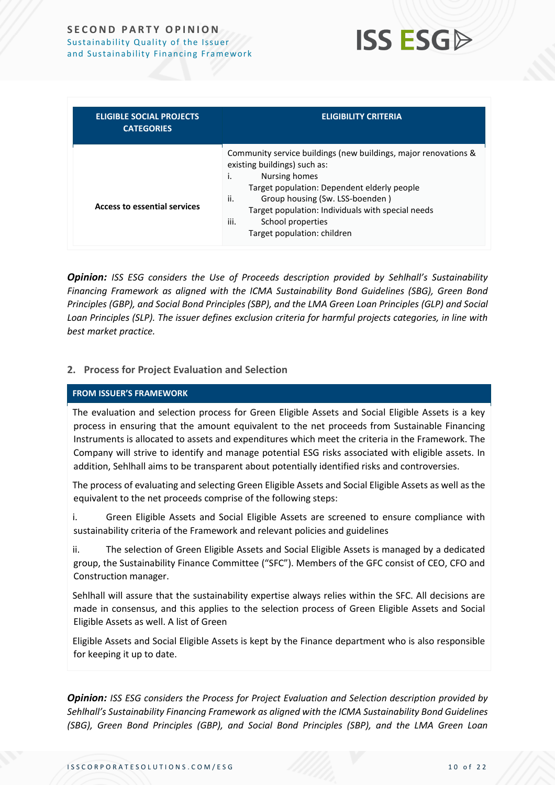

| <b>ELIGIBLE SOCIAL PROJECTS</b><br><b>CATEGORIES</b> | <b>ELIGIBILITY CRITERIA</b>                                                                                                                                                                                                                                                                                                      |
|------------------------------------------------------|----------------------------------------------------------------------------------------------------------------------------------------------------------------------------------------------------------------------------------------------------------------------------------------------------------------------------------|
| <b>Access to essential services</b>                  | Community service buildings (new buildings, major renovations &<br>existing buildings) such as:<br>Nursing homes<br>İ.<br>Target population: Dependent elderly people<br>ii.<br>Group housing (Sw. LSS-boenden)<br>Target population: Individuals with special needs<br>iii.<br>School properties<br>Target population: children |

*Opinion: ISS ESG considers the Use of Proceeds description provided by Sehlhall's Sustainability Financing Framework as aligned with the ICMA Sustainability Bond Guidelines (SBG), Green Bond Principles (GBP), and Social Bond Principles (SBP), and the LMA Green Loan Principles (GLP) and Social Loan Principles (SLP). The issuer defines exclusion criteria for harmful projects categories, in line with best market practice.*

#### **2. Process for Project Evaluation and Selection**

#### **FROM ISSUER'S FRAMEWORK**

The evaluation and selection process for Green Eligible Assets and Social Eligible Assets is a key process in ensuring that the amount equivalent to the net proceeds from Sustainable Financing Instruments is allocated to assets and expenditures which meet the criteria in the Framework. The Company will strive to identify and manage potential ESG risks associated with eligible assets. In addition, Sehlhall aims to be transparent about potentially identified risks and controversies.

The process of evaluating and selecting Green Eligible Assets and Social Eligible Assets as well as the equivalent to the net proceeds comprise of the following steps:

i. Green Eligible Assets and Social Eligible Assets are screened to ensure compliance with sustainability criteria of the Framework and relevant policies and guidelines

ii. The selection of Green Eligible Assets and Social Eligible Assets is managed by a dedicated group, the Sustainability Finance Committee ("SFC"). Members of the GFC consist of CEO, CFO and Construction manager.

Sehlhall will assure that the sustainability expertise always relies within the SFC. All decisions are made in consensus, and this applies to the selection process of Green Eligible Assets and Social Eligible Assets as well. A list of Green

Eligible Assets and Social Eligible Assets is kept by the Finance department who is also responsible for keeping it up to date.

*Opinion: ISS ESG considers the Process for Project Evaluation and Selection description provided by Sehlhall's Sustainability Financing Framework as aligned with the ICMA Sustainability Bond Guidelines (SBG), Green Bond Principles (GBP), and Social Bond Principles (SBP), and the LMA Green Loan*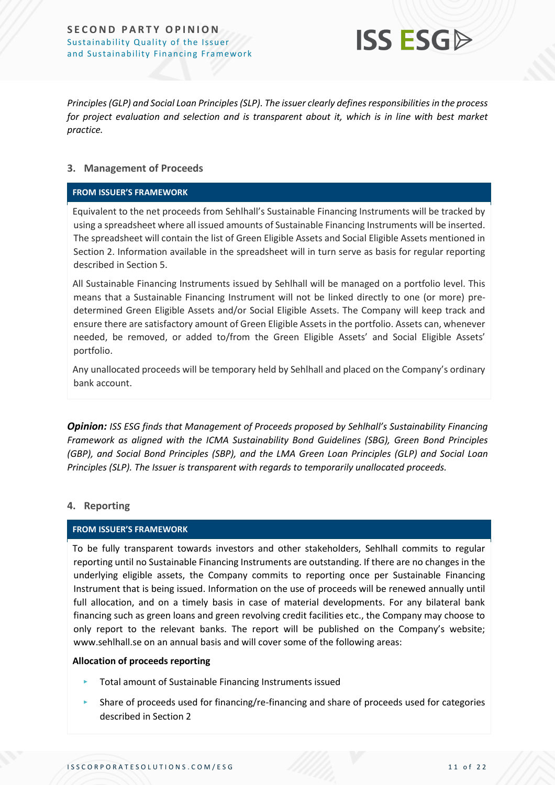

*Principles (GLP) and Social Loan Principles (SLP). The issuer clearly defines responsibilities in the process*  for project evaluation and selection and is transparent about it, which is in line with best market *practice.*

#### **3. Management of Proceeds**

#### **FROM ISSUER'S FRAMEWORK**

Equivalent to the net proceeds from Sehlhall's Sustainable Financing Instruments will be tracked by using a spreadsheet where all issued amounts of Sustainable Financing Instruments will be inserted. The spreadsheet will contain the list of Green Eligible Assets and Social Eligible Assets mentioned in Section 2. Information available in the spreadsheet will in turn serve as basis for regular reporting described in Section 5.

All Sustainable Financing Instruments issued by Sehlhall will be managed on a portfolio level. This means that a Sustainable Financing Instrument will not be linked directly to one (or more) predetermined Green Eligible Assets and/or Social Eligible Assets. The Company will keep track and ensure there are satisfactory amount of Green Eligible Assets in the portfolio. Assets can, whenever needed, be removed, or added to/from the Green Eligible Assets' and Social Eligible Assets' portfolio.

Any unallocated proceeds will be temporary held by Sehlhall and placed on the Company's ordinary bank account.

*Opinion: ISS ESG finds that Management of Proceeds proposed by Sehlhall's Sustainability Financing Framework as aligned with the ICMA Sustainability Bond Guidelines (SBG), Green Bond Principles (GBP), and Social Bond Principles (SBP), and the LMA Green Loan Principles (GLP) and Social Loan Principles (SLP). The Issuer is transparent with regards to temporarily unallocated proceeds.* 

#### **4. Reporting**

#### **FROM ISSUER'S FRAMEWORK**

To be fully transparent towards investors and other stakeholders, Sehlhall commits to regular reporting until no Sustainable Financing Instruments are outstanding. If there are no changes in the underlying eligible assets, the Company commits to reporting once per Sustainable Financing Instrument that is being issued. Information on the use of proceeds will be renewed annually until full allocation, and on a timely basis in case of material developments. For any bilateral bank financing such as green loans and green revolving credit facilities etc., the Company may choose to only report to the relevant banks. The report will be published on the Company's website; www.sehlhall.se on an annual basis and will cover some of the following areas:

#### **Allocation of proceeds reporting**

- ‣ Total amount of Sustainable Financing Instruments issued
- $\blacktriangleright$  Share of proceeds used for financing/re-financing and share of proceeds used for categories described in Section 2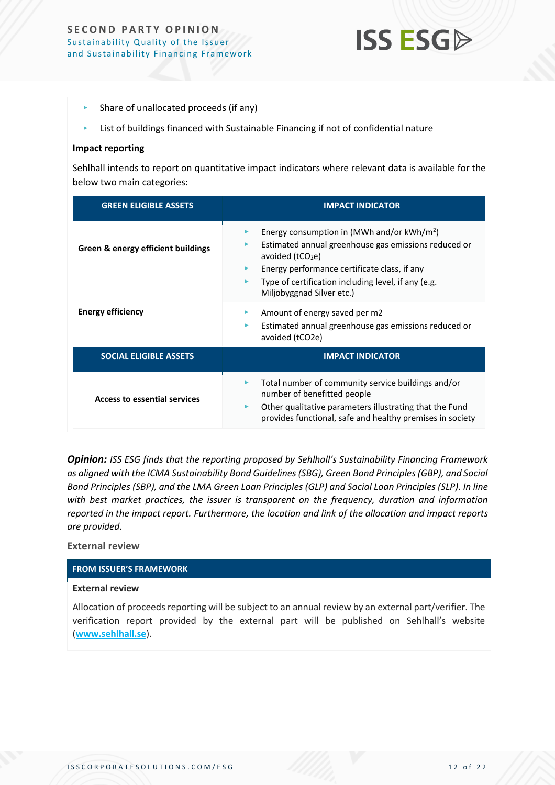#### **SECOND PARTY OPINION** Sustainability Quality of the Issuer and Sustainability Financing Framework



- $\blacktriangleright$  Share of unallocated proceeds (if any)
- $\blacktriangleright$  List of buildings financed with Sustainable Financing if not of confidential nature

#### **Impact reporting**

Sehlhall intends to report on quantitative impact indicators where relevant data is available for the below two main categories:

| <b>GREEN ELIGIBLE ASSETS</b>        | <b>IMPACT INDICATOR</b>                                                                                                                                                                                                                                                  |
|-------------------------------------|--------------------------------------------------------------------------------------------------------------------------------------------------------------------------------------------------------------------------------------------------------------------------|
| Green & energy efficient buildings  | Energy consumption in (MWh and/or $kWh/m^2$ )<br>▶<br>Estimated annual greenhouse gas emissions reduced or<br>▶<br>avoided $(tCO2e)$<br>Energy performance certificate class, if any<br>Type of certification including level, if any (e.g.<br>Miljöbyggnad Silver etc.) |
| <b>Energy efficiency</b>            | Amount of energy saved per m2<br>Estimated annual greenhouse gas emissions reduced or<br>▶<br>avoided (tCO2e)                                                                                                                                                            |
| <b>SOCIAL ELIGIBLE ASSETS</b>       | <b>IMPACT INDICATOR</b>                                                                                                                                                                                                                                                  |
| <b>Access to essential services</b> | Total number of community service buildings and/or<br>number of benefitted people<br>Other qualitative parameters illustrating that the Fund<br>Þ.<br>provides functional, safe and healthy premises in society                                                          |

*Opinion: ISS ESG finds that the reporting proposed by Sehlhall's Sustainability Financing Framework as aligned with the ICMA Sustainability Bond Guidelines (SBG), Green Bond Principles (GBP), and Social Bond Principles (SBP), and the LMA Green Loan Principles (GLP) and Social Loan Principles (SLP). In line with best market practices, the issuer is transparent on the frequency, duration and information reported in the impact report. Furthermore, the location and link of the allocation and impact reports are provided.*

#### **External review**

#### **FROM ISSUER'S FRAMEWORK**

#### **External review**

Allocation of proceeds reporting will be subject to an annual review by an external part/verifier. The verification report provided by the external part will be published on Sehlhall's website (**[www.sehlhall.se](http://www.sehlhall.se/)**).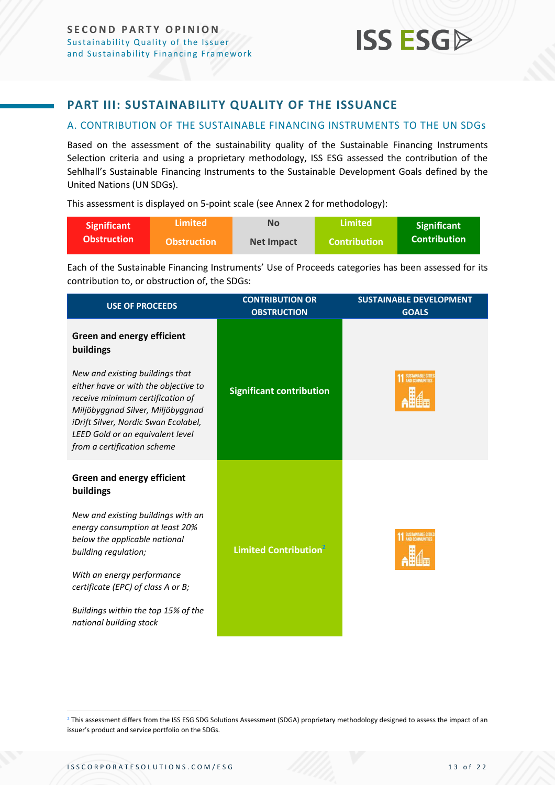### <span id="page-12-0"></span>**PART III: SUSTAINABILITY QUALITY OF THE ISSUANCE**

#### <span id="page-12-1"></span>A. CONTRIBUTION OF THE SUSTAINABLE FINANCING INSTRUMENTS TO THE UN SDGs

Based on the assessment of the sustainability quality of the Sustainable Financing Instruments Selection criteria and using a proprietary methodology, ISS ESG assessed the contribution of the Sehlhall's Sustainable Financing Instruments to the Sustainable Development Goals defined by the United Nations (UN SDGs).

This assessment is displayed on 5-point scale (see Annex 2 for methodology):

| Significant        | <b>Limited</b>     | No         | Limited             | <b>Significant</b>  |
|--------------------|--------------------|------------|---------------------|---------------------|
| <b>Obstruction</b> | <b>Obstruction</b> | Net Impact | <b>Contribution</b> | <b>Contribution</b> |

Each of the Sustainable Financing Instruments' Use of Proceeds categories has been assessed for its contribution to, or obstruction of, the SDGs:

| <b>USE OF PROCEEDS</b>                                                                                                                                                                                                                                      | <b>CONTRIBUTION OR</b><br><b>OBSTRUCTION</b> | <b>SUSTAINABLE DEVELOPMENT</b><br><b>GOALS</b> |
|-------------------------------------------------------------------------------------------------------------------------------------------------------------------------------------------------------------------------------------------------------------|----------------------------------------------|------------------------------------------------|
| <b>Green and energy efficient</b><br>buildings                                                                                                                                                                                                              |                                              |                                                |
| New and existing buildings that<br>either have or with the objective to<br>receive minimum certification of<br>Miljöbyggnad Silver, Miljöbyggnad<br>iDrift Silver, Nordic Swan Ecolabel,<br>LEED Gold or an equivalent level<br>from a certification scheme | <b>Significant contribution</b>              | SUSTAINABLE CITIES                             |
| <b>Green and energy efficient</b><br>buildings                                                                                                                                                                                                              |                                              |                                                |
| New and existing buildings with an<br>energy consumption at least 20%<br>below the applicable national<br>building regulation;                                                                                                                              | Limited Contribution <sup>2</sup>            |                                                |
| With an energy performance<br>certificate (EPC) of class A or B;                                                                                                                                                                                            |                                              |                                                |
| Buildings within the top 15% of the<br>national building stock                                                                                                                                                                                              |                                              |                                                |

<sup>2</sup> This assessment differs from the ISS ESG SDG Solutions Assessment (SDGA) proprietary methodology designed to assess the impact of an issuer's product and service portfolio on the SDGs.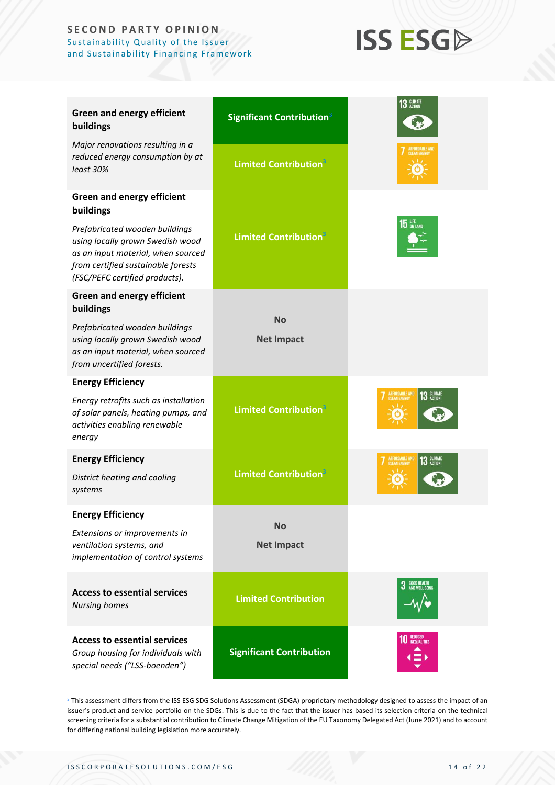#### **SECOND PARTY OPINION** Sustainability Quality of the Issuer and Sustainability Financing Framework

## **ISS ESGA**

| <b>Green and energy efficient</b><br>buildings                                                                                                                                   | Significant Contribution <sup>3</sup>    | 13 GLIMATE                                   |
|----------------------------------------------------------------------------------------------------------------------------------------------------------------------------------|------------------------------------------|----------------------------------------------|
| Major renovations resulting in a<br>reduced energy consumption by at<br>least 30%                                                                                                | <b>Limited Contribution</b> <sup>3</sup> | <b>CLEAN ENERGY</b>                          |
| <b>Green and energy efficient</b><br>buildings                                                                                                                                   |                                          |                                              |
| Prefabricated wooden buildings<br>using locally grown Swedish wood<br>as an input material, when sourced<br>from certified sustainable forests<br>(FSC/PEFC certified products). | <b>Limited Contribution</b> <sup>3</sup> | 15 UFE                                       |
| <b>Green and energy efficient</b><br>buildings                                                                                                                                   |                                          |                                              |
| Prefabricated wooden buildings<br>using locally grown Swedish wood<br>as an input material, when sourced<br>from uncertified forests.                                            | <b>No</b><br><b>Net Impact</b>           |                                              |
| <b>Energy Efficiency</b>                                                                                                                                                         |                                          |                                              |
| Energy retrofits such as installation<br>of solar panels, heating pumps, and<br>activities enabling renewable<br>energy                                                          | <b>Limited Contribution</b> <sup>3</sup> | <b>AFFORDABLE AND</b><br>13 GLIMATE          |
| <b>Energy Efficiency</b>                                                                                                                                                         |                                          | AFFORDABLE AND<br>CLEAN ENERGY<br>13 GLIMATE |
| District heating and cooling<br>systems                                                                                                                                          | <b>Limited Contribution</b> <sup>3</sup> |                                              |
| <b>Energy Efficiency</b>                                                                                                                                                         |                                          |                                              |
| Extensions or improvements in<br>ventilation systems, and<br>implementation of control systems                                                                                   | <b>No</b><br><b>Net Impact</b>           |                                              |
| <b>Access to essential services</b><br><b>Nursing homes</b>                                                                                                                      | <b>Limited Contribution</b>              | 3 GOOD HEALTH                                |
| <b>Access to essential services</b><br>Group housing for individuals with<br>special needs ("LSS-boenden")                                                                       | <b>Significant Contribution</b>          | <b>10</b> REDUCED                            |

<sup>3</sup> This assessment differs from the ISS ESG SDG Solutions Assessment (SDGA) proprietary methodology designed to assess the impact of an issuer's product and service portfolio on the SDGs. This is due to the fact that the issuer has based its selection criteria on the technical screening criteria for a substantial contribution to Climate Change Mitigation of the EU Taxonomy Delegated Act (June 2021) and to account for differing national building legislation more accurately.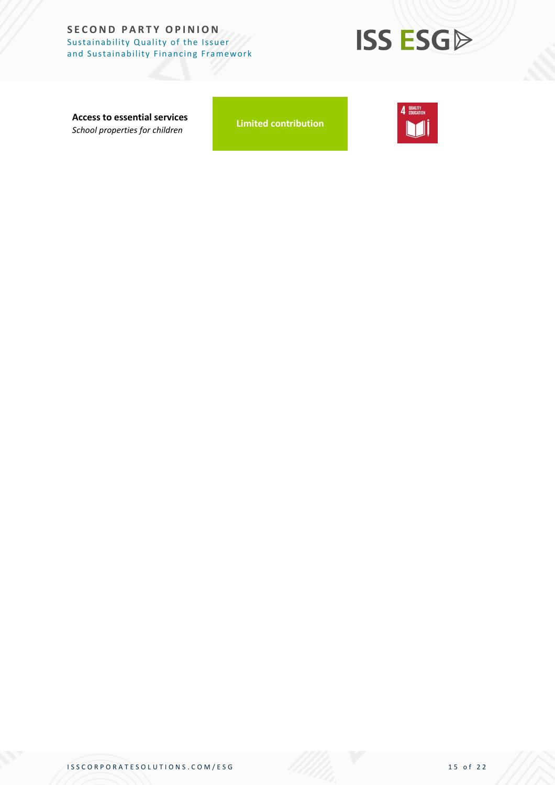#### **SECOND PARTY OPINION** Sustainability Quality of the Issuer and Sustainability Financing Framework



**Access to essential services** *School properties for children*

**Limited contribution**

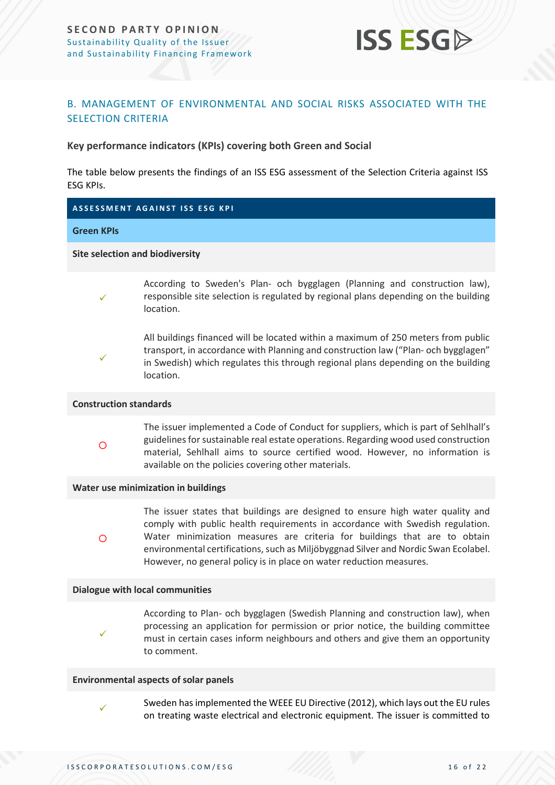

#### <span id="page-15-0"></span>B. MANAGEMENT OF ENVIRONMENTAL AND SOCIAL RISKS ASSOCIATED WITH THE SELECTION CRITERIA

**Key performance indicators (KPIs) covering both Green and Social**

The table below presents the findings of an ISS ESG assessment of the Selection Criteria against ISS ESG KPIs.

#### **A S S E S S M E N T A G A I N S T I S S E S G K P I**

#### **Green KPIs**

**Site selection and biodiversity**

✓

According to Sweden's Plan- och bygglagen (Planning and construction law), responsible site selection is regulated by regional plans depending on the building location.



All buildings financed will be located within a maximum of 250 meters from public transport, in accordance with Planning and construction law ("Plan- och bygglagen" in Swedish) which regulates this through regional plans depending on the building location.

#### **Construction standards**

 $\circ$ 

The issuer implemented a Code of Conduct for suppliers, which is part of Sehlhall's guidelines for sustainable real estate operations. Regarding wood used construction material, Sehlhall aims to source certified wood. However, no information is available on the policies covering other materials.

#### **Water use minimization in buildings**

 $\circ$ 

✓

✓

The issuer states that buildings are designed to ensure high water quality and comply with public health requirements in accordance with Swedish regulation. Water minimization measures are criteria for buildings that are to obtain environmental certifications, such as Miljöbyggnad Silver and Nordic Swan Ecolabel. However, no general policy is in place on water reduction measures.

#### **Dialogue with local communities**

According to Plan- och bygglagen (Swedish Planning and construction law), when processing an application for permission or prior notice, the building committee must in certain cases inform neighbours and others and give them an opportunity to comment.

#### **Environmental aspects of solar panels**

Sweden has implemented the WEEE EU Directive (2012), which lays out the EU rules on treating waste electrical and electronic equipment. The issuer is committed to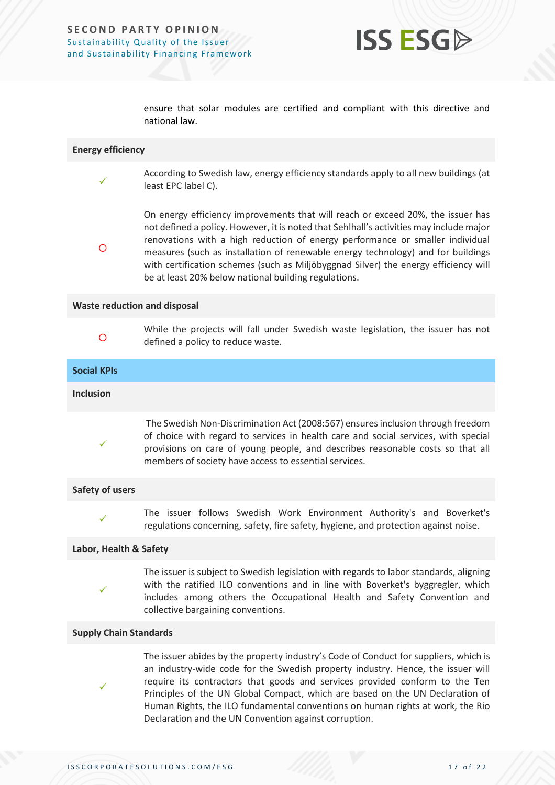

ensure that solar modules are certified and compliant with this directive and national law.

#### **Energy efficiency**

✓

- According to Swedish law, energy efficiency standards apply to all new buildings (at least EPC label C).
- $\circ$

On energy efficiency improvements that will reach or exceed 20%, the issuer has not defined a policy. However, it is noted that Sehlhall's activities may include major renovations with a high reduction of energy performance or smaller individual measures (such as installation of renewable energy technology) and for buildings with certification schemes (such as Miljöbyggnad Silver) the energy efficiency will be at least 20% below national building regulations.

#### **Waste reduction and disposal**

 $\Omega$ 

While the projects will fall under Swedish waste legislation, the issuer has not defined a policy to reduce waste.

## **Social KPIs Inclusion** ✓ The Swedish Non-Discrimination Act (2008:567) ensures inclusion through freedom of choice with regard to services in health care and social services, with special provisions on care of young people, and describes reasonable costs so that all members of society have access to essential services.

#### **Safety of users**

✓

The issuer follows Swedish Work Environment Authority's and Boverket's regulations concerning, safety, fire safety, hygiene, and protection against noise.

#### **Labor, Health & Safety**

✓

The issuer is subject to Swedish legislation with regards to labor standards, aligning with the ratified ILO conventions and in line with Boverket's byggregler, which includes among others the Occupational Health and Safety Convention and collective bargaining conventions.

#### **Supply Chain Standards**

✓

The issuer abides by the property industry's Code of Conduct for suppliers, which is an industry-wide code for the Swedish property industry. Hence, the issuer will require its contractors that goods and services provided conform to the Ten Principles of the UN Global Compact, which are based on the UN Declaration of Human Rights, the ILO fundamental conventions on human rights at work, the Rio Declaration and the UN Convention against corruption.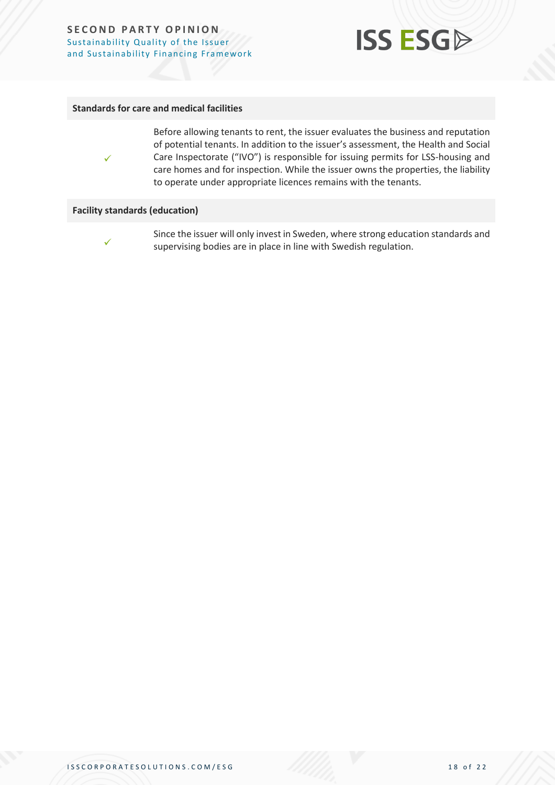#### **SECOND PARTY OPINION** Sustainability Quality of the Issuer and Sustainability Financing Framework



#### **Standards for care and medical facilities**



Before allowing tenants to rent, the issuer evaluates the business and reputation of potential tenants. In addition to the issuer's assessment, the Health and Social Care Inspectorate ("IVO") is responsible for issuing permits for LSS-housing and care homes and for inspection. While the issuer owns the properties, the liability to operate under appropriate licences remains with the tenants.

#### **Facility standards (education)**



Since the issuer will only invest in Sweden, where strong education standards and supervising bodies are in place in line with Swedish regulation.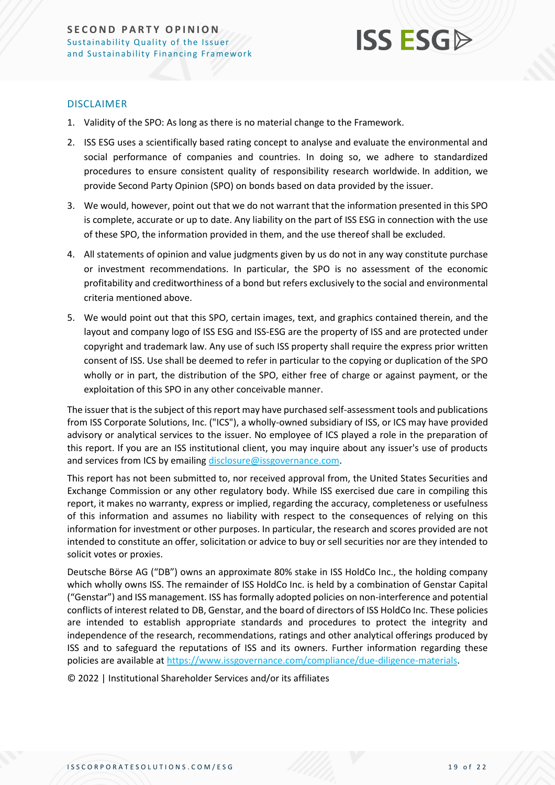

#### DISCLAIMER

- 1. Validity of the SPO: As long as there is no material change to the Framework.
- 2. ISS ESG uses a scientifically based rating concept to analyse and evaluate the environmental and social performance of companies and countries. In doing so, we adhere to standardized procedures to ensure consistent quality of responsibility research worldwide. In addition, we provide Second Party Opinion (SPO) on bonds based on data provided by the issuer.
- 3. We would, however, point out that we do not warrant that the information presented in this SPO is complete, accurate or up to date. Any liability on the part of ISS ESG in connection with the use of these SPO, the information provided in them, and the use thereof shall be excluded.
- 4. All statements of opinion and value judgments given by us do not in any way constitute purchase or investment recommendations. In particular, the SPO is no assessment of the economic profitability and creditworthiness of a bond but refers exclusively to the social and environmental criteria mentioned above.
- 5. We would point out that this SPO, certain images, text, and graphics contained therein, and the layout and company logo of ISS ESG and ISS-ESG are the property of ISS and are protected under copyright and trademark law. Any use of such ISS property shall require the express prior written consent of ISS. Use shall be deemed to refer in particular to the copying or duplication of the SPO wholly or in part, the distribution of the SPO, either free of charge or against payment, or the exploitation of this SPO in any other conceivable manner.

The issuer that is the subject of this report may have purchased self-assessment tools and publications from ISS Corporate Solutions, Inc. ("ICS"), a wholly-owned subsidiary of ISS, or ICS may have provided advisory or analytical services to the issuer. No employee of ICS played a role in the preparation of this report. If you are an ISS institutional client, you may inquire about any issuer's use of products and services from ICS by emailin[g disclosure@issgovernance.com.](mailto:disclosure@issgovernance.com)

This report has not been submitted to, nor received approval from, the United States Securities and Exchange Commission or any other regulatory body. While ISS exercised due care in compiling this report, it makes no warranty, express or implied, regarding the accuracy, completeness or usefulness of this information and assumes no liability with respect to the consequences of relying on this information for investment or other purposes. In particular, the research and scores provided are not intended to constitute an offer, solicitation or advice to buy or sell securities nor are they intended to solicit votes or proxies.

Deutsche Börse AG ("DB") owns an approximate 80% stake in ISS HoldCo Inc., the holding company which wholly owns ISS. The remainder of ISS HoldCo Inc. is held by a combination of Genstar Capital ("Genstar") and ISS management. ISS has formally adopted policies on non-interference and potential conflicts of interest related to DB, Genstar, and the board of directors of ISS HoldCo Inc. These policies are intended to establish appropriate standards and procedures to protect the integrity and independence of the research, recommendations, ratings and other analytical offerings produced by ISS and to safeguard the reputations of ISS and its owners. Further information regarding these policies are available a[t https://www.issgovernance.com/compliance/due-diligence-materials.](https://www.issgovernance.com/compliance/due-diligence-materials)

© 2022 | Institutional Shareholder Services and/or its affiliates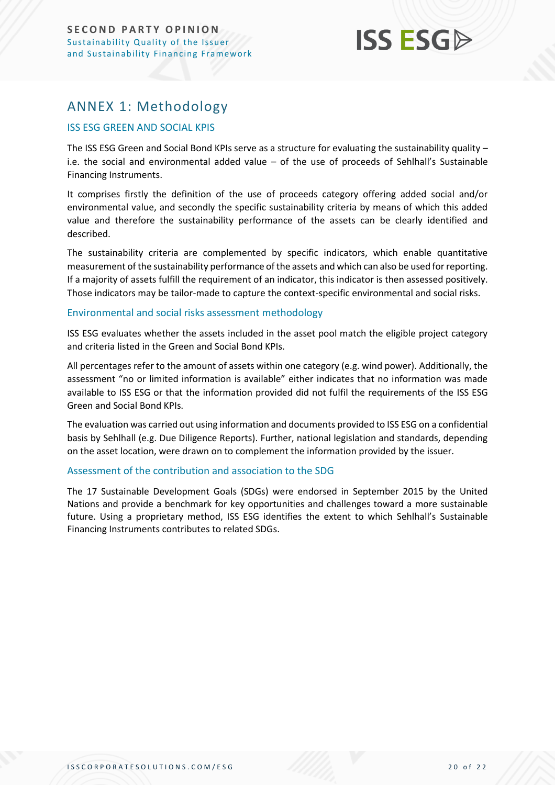## **ISS ESG**

## <span id="page-19-0"></span>ANNEX 1: Methodology

#### ISS ESG GREEN AND SOCIAL KPIS

The ISS ESG Green and Social Bond KPIs serve as a structure for evaluating the sustainability quality – i.e. the social and environmental added value – of the use of proceeds of Sehlhall's Sustainable Financing Instruments.

It comprises firstly the definition of the use of proceeds category offering added social and/or environmental value, and secondly the specific sustainability criteria by means of which this added value and therefore the sustainability performance of the assets can be clearly identified and described.

The sustainability criteria are complemented by specific indicators, which enable quantitative measurement of the sustainability performance of the assets and which can also be used for reporting. If a majority of assets fulfill the requirement of an indicator, this indicator is then assessed positively. Those indicators may be tailor-made to capture the context-specific environmental and social risks.

#### Environmental and social risks assessment methodology

ISS ESG evaluates whether the assets included in the asset pool match the eligible project category and criteria listed in the Green and Social Bond KPIs.

All percentages refer to the amount of assets within one category (e.g. wind power). Additionally, the assessment "no or limited information is available" either indicates that no information was made available to ISS ESG or that the information provided did not fulfil the requirements of the ISS ESG Green and Social Bond KPIs.

The evaluation was carried out using information and documents provided to ISS ESG on a confidential basis by Sehlhall (e.g. Due Diligence Reports). Further, national legislation and standards, depending on the asset location, were drawn on to complement the information provided by the issuer.

#### Assessment of the contribution and association to the SDG

The 17 Sustainable Development Goals (SDGs) were endorsed in September 2015 by the United Nations and provide a benchmark for key opportunities and challenges toward a more sustainable future. Using a proprietary method, ISS ESG identifies the extent to which Sehlhall's Sustainable Financing Instruments contributes to related SDGs.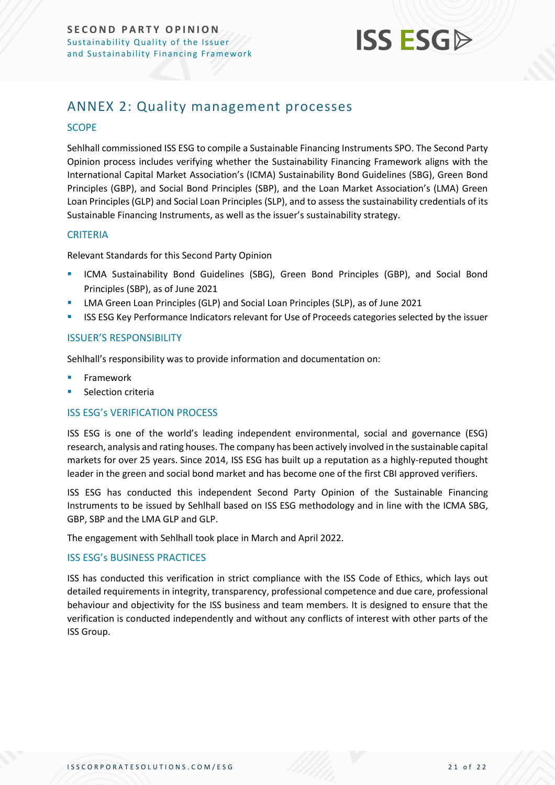

## <span id="page-20-0"></span>ANNEX 2: Quality management processes

#### **SCOPE**

Sehlhall commissioned ISS ESG to compile a Sustainable Financing Instruments SPO. The Second Party Opinion process includes verifying whether the Sustainability Financing Framework aligns with the International Capital Market Association's (ICMA) Sustainability Bond Guidelines (SBG), Green Bond Principles (GBP), and Social Bond Principles (SBP), and the Loan Market Association's (LMA) Green Loan Principles (GLP) and Social Loan Principles (SLP), and to assess the sustainability credentials of its Sustainable Financing Instruments, as well as the issuer's sustainability strategy.

#### **CRITERIA**

Relevant Standards for this Second Party Opinion

- ICMA Sustainability Bond Guidelines (SBG), Green Bond Principles (GBP), and Social Bond Principles (SBP), as of June 2021
- **LMA Green Loan Principles (GLP) and Social Loan Principles (SLP), as of June 2021**
- ISS ESG Key Performance Indicators relevant for Use of Proceeds categories selected by the issuer

#### ISSUER'S RESPONSIBILITY

Sehlhall's responsibility was to provide information and documentation on:

- **Framework**
- Selection criteria

#### ISS ESG's VERIFICATION PROCESS

ISS ESG is one of the world's leading independent environmental, social and governance (ESG) research, analysis and rating houses. The company has been actively involved in the sustainable capital markets for over 25 years. Since 2014, ISS ESG has built up a reputation as a highly-reputed thought leader in the green and social bond market and has become one of the first CBI approved verifiers.

ISS ESG has conducted this independent Second Party Opinion of the Sustainable Financing Instruments to be issued by Sehlhall based on ISS ESG methodology and in line with the ICMA SBG, GBP, SBP and the LMA GLP and GLP.

The engagement with Sehlhall took place in March and April 2022.

#### ISS ESG's BUSINESS PRACTICES

ISS has conducted this verification in strict compliance with the ISS Code of Ethics, which lays out detailed requirements in integrity, transparency, professional competence and due care, professional behaviour and objectivity for the ISS business and team members. It is designed to ensure that the verification is conducted independently and without any conflicts of interest with other parts of the ISS Group.